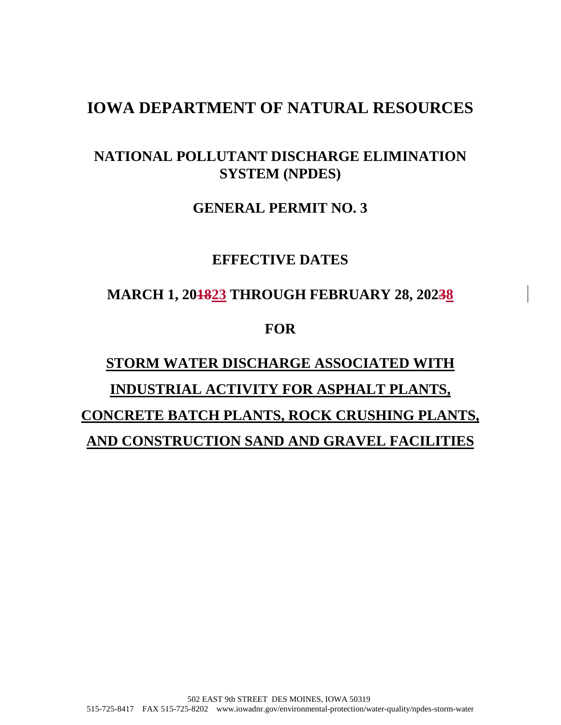# **IOWA DEPARTMENT OF NATURAL RESOURCES**

## **NATIONAL POLLUTANT DISCHARGE ELIMINATION SYSTEM (NPDES)**

### **GENERAL PERMIT NO. 3**

## **EFFECTIVE DATES**

## **MARCH 1, 201823 THROUGH FEBRUARY 28, 20238**

## **FOR**

# **STORM WATER DISCHARGE ASSOCIATED WITH INDUSTRIAL ACTIVITY FOR ASPHALT PLANTS, CONCRETE BATCH PLANTS, ROCK CRUSHING PLANTS, AND CONSTRUCTION SAND AND GRAVEL FACILITIES**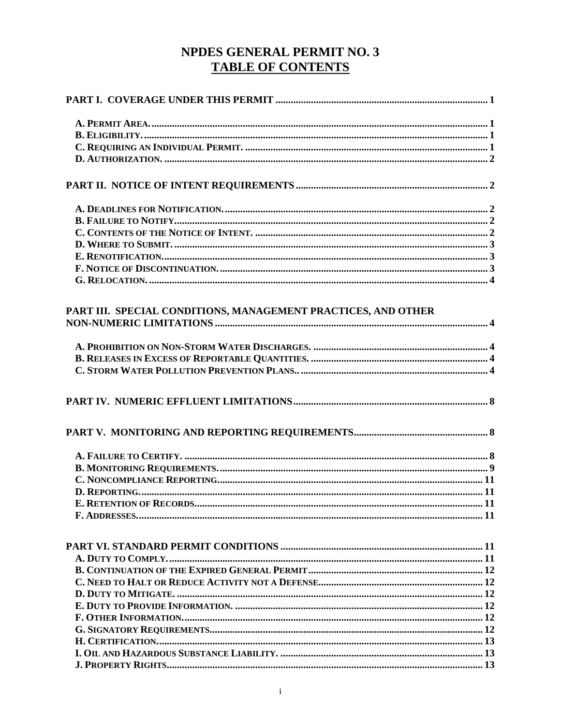# NPDES GENERAL PERMIT NO. 3 **TABLE OF CONTENTS**

| PART III. SPECIAL CONDITIONS, MANAGEMENT PRACTICES, AND OTHER |  |
|---------------------------------------------------------------|--|
|                                                               |  |
|                                                               |  |
|                                                               |  |
|                                                               |  |
|                                                               |  |
|                                                               |  |
|                                                               |  |
|                                                               |  |
|                                                               |  |
|                                                               |  |
|                                                               |  |
|                                                               |  |
|                                                               |  |
|                                                               |  |
|                                                               |  |
|                                                               |  |
|                                                               |  |
|                                                               |  |
|                                                               |  |
|                                                               |  |
|                                                               |  |
|                                                               |  |
|                                                               |  |
|                                                               |  |
|                                                               |  |
|                                                               |  |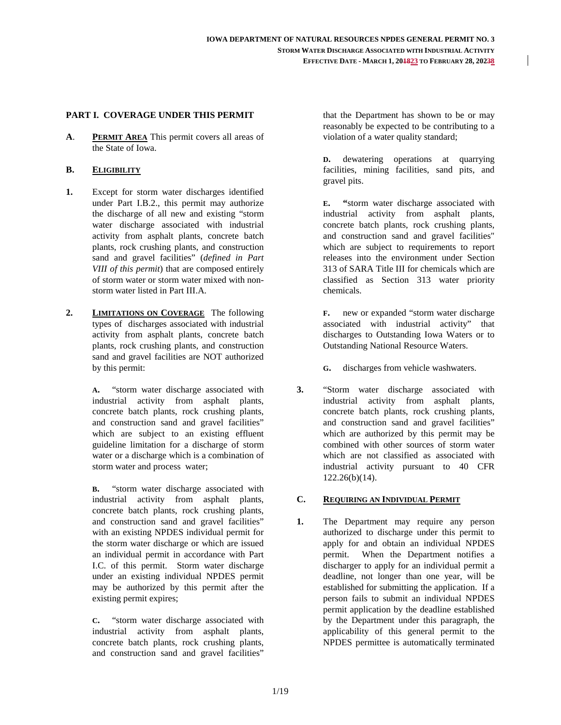#### **PART I. COVERAGE UNDER THIS PERMIT**

**A**. **PERMIT AREA** This permit covers all areas of the State of Iowa.

#### **B. ELIGIBILITY**

- **1.** Except for storm water discharges identified under Part I.B.2., this permit may authorize the discharge of all new and existing "storm water discharge associated with industrial activity from asphalt plants, concrete batch plants, rock crushing plants, and construction sand and gravel facilities" (*defined in Part VIII of this permit*) that are composed entirely of storm water or storm water mixed with nonstorm water listed in Part III.A.
- **2. LIMITATIONS ON COVERAGE** The following types of discharges associated with industrial activity from asphalt plants, concrete batch plants, rock crushing plants, and construction sand and gravel facilities are NOT authorized by this permit:

**A.** "storm water discharge associated with industrial activity from asphalt plants, concrete batch plants, rock crushing plants, and construction sand and gravel facilities" which are subject to an existing effluent guideline limitation for a discharge of storm water or a discharge which is a combination of storm water and process water;

**B.** "storm water discharge associated with industrial activity from asphalt plants, concrete batch plants, rock crushing plants, and construction sand and gravel facilities" with an existing NPDES individual permit for the storm water discharge or which are issued an individual permit in accordance with Part I.C. of this permit. Storm water discharge under an existing individual NPDES permit may be authorized by this permit after the existing permit expires;

**C.** "storm water discharge associated with industrial activity from asphalt plants, concrete batch plants, rock crushing plants, and construction sand and gravel facilities"

that the Department has shown to be or may reasonably be expected to be contributing to a violation of a water quality standard;

**D.** dewatering operations at quarrying facilities, mining facilities, sand pits, and gravel pits.

**E. "**storm water discharge associated with industrial activity from asphalt plants, concrete batch plants, rock crushing plants, and construction sand and gravel facilities" which are subject to requirements to report releases into the environment under Section 313 of SARA Title III for chemicals which are classified as Section 313 water priority chemicals.

**F.** new or expanded "storm water discharge associated with industrial activity" that discharges to Outstanding Iowa Waters or to Outstanding National Resource Waters.

**G.** discharges from vehicle washwaters.

**3.** "Storm water discharge associated with industrial activity from asphalt plants, concrete batch plants, rock crushing plants, and construction sand and gravel facilities" which are authorized by this permit may be combined with other sources of storm water which are not classified as associated with industrial activity pursuant to 40 CFR 122.26(b)(14).

#### **C. REQUIRING AN INDIVIDUAL PERMIT**

**1.** The Department may require any person authorized to discharge under this permit to apply for and obtain an individual NPDES permit. When the Department notifies a discharger to apply for an individual permit a deadline, not longer than one year, will be established for submitting the application. If a person fails to submit an individual NPDES permit application by the deadline established by the Department under this paragraph, the applicability of this general permit to the NPDES permittee is automatically terminated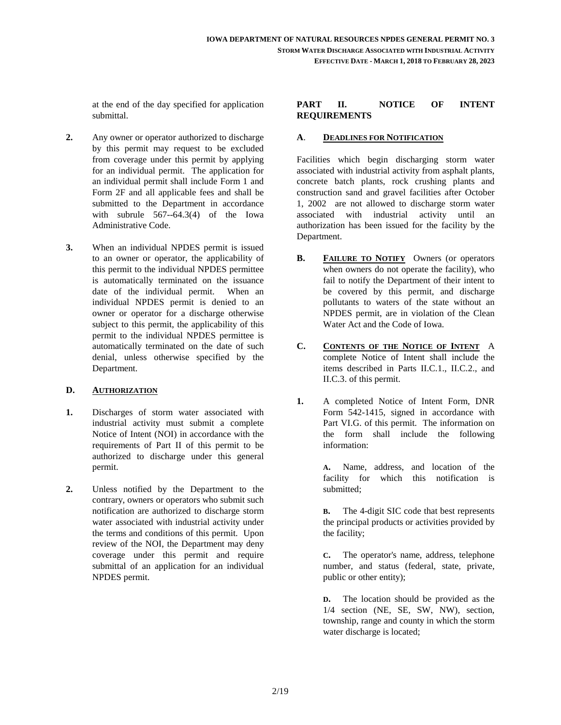at the end of the day specified for application submittal.

- **2.** Any owner or operator authorized to discharge by this permit may request to be excluded from coverage under this permit by applying for an individual permit. The application for an individual permit shall include Form 1 and Form 2F and all applicable fees and shall be submitted to the Department in accordance with subrule 567--64.3(4) of the Iowa Administrative Code.
- **3.** When an individual NPDES permit is issued to an owner or operator, the applicability of this permit to the individual NPDES permittee is automatically terminated on the issuance date of the individual permit. When an individual NPDES permit is denied to an owner or operator for a discharge otherwise subject to this permit, the applicability of this permit to the individual NPDES permittee is automatically terminated on the date of such denial, unless otherwise specified by the Department.

#### **D. AUTHORIZATION**

- **1.** Discharges of storm water associated with industrial activity must submit a complete Notice of Intent (NOI) in accordance with the requirements of Part II of this permit to be authorized to discharge under this general permit.
- **2.** Unless notified by the Department to the contrary, owners or operators who submit such notification are authorized to discharge storm water associated with industrial activity under the terms and conditions of this permit. Upon review of the NOI, the Department may deny coverage under this permit and require submittal of an application for an individual NPDES permit.

#### **PART II. NOTICE OF INTENT REQUIREMENTS**

#### **A**. **DEADLINES FOR NOTIFICATION**

Facilities which begin discharging storm water associated with industrial activity from asphalt plants, concrete batch plants, rock crushing plants and construction sand and gravel facilities after October 1, 2002 are not allowed to discharge storm water associated with industrial activity until an authorization has been issued for the facility by the Department.

- **B. FAILURE TO NOTIFY** Owners (or operators when owners do not operate the facility), who fail to notify the Department of their intent to be covered by this permit, and discharge pollutants to waters of the state without an NPDES permit, are in violation of the Clean Water Act and the Code of Iowa.
- **C. CONTENTS OF THE NOTICE OF INTENT** A complete Notice of Intent shall include the items described in Parts II.C.1., II.C.2., and II.C.3. of this permit.
- **1.** A completed Notice of Intent Form, DNR Form 542-1415, signed in accordance with Part VI.G. of this permit. The information on the form shall include the following information:

**A.** Name, address, and location of the facility for which this notification is submitted;

**B.** The 4-digit SIC code that best represents the principal products or activities provided by the facility;

**C.** The operator's name, address, telephone number, and status (federal, state, private, public or other entity);

**D.** The location should be provided as the 1/4 section (NE, SE, SW, NW), section, township, range and county in which the storm water discharge is located;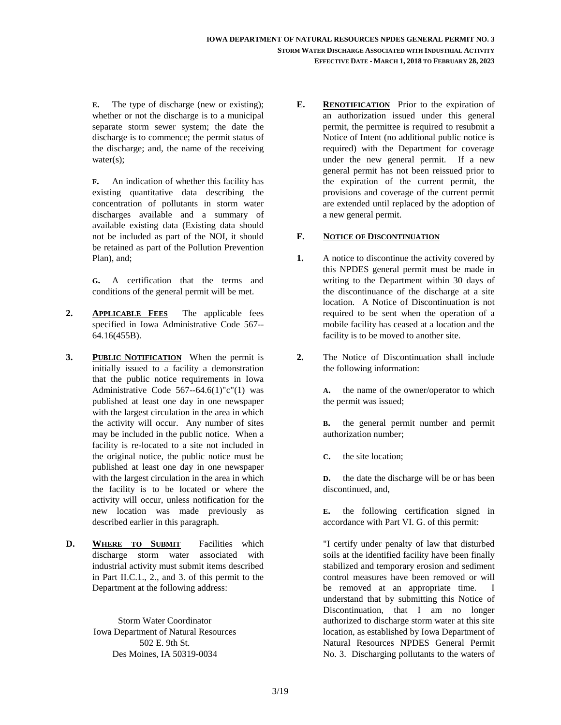**E.** The type of discharge (new or existing); whether or not the discharge is to a municipal separate storm sewer system; the date the discharge is to commence; the permit status of the discharge; and, the name of the receiving water(s);

**F.** An indication of whether this facility has existing quantitative data describing the concentration of pollutants in storm water discharges available and a summary of available existing data (Existing data should not be included as part of the NOI, it should be retained as part of the Pollution Prevention Plan), and;

**G.** A certification that the terms and conditions of the general permit will be met.

- **2. APPLICABLE FEES** The applicable fees specified in Iowa Administrative Code 567-- 64.16(455B).
- **3. PUBLIC NOTIFICATION** When the permit is initially issued to a facility a demonstration that the public notice requirements in Iowa Administrative Code  $567 - 64.6(1)$ "c"(1) was published at least one day in one newspaper with the largest circulation in the area in which the activity will occur. Any number of sites may be included in the public notice. When a facility is re-located to a site not included in the original notice, the public notice must be published at least one day in one newspaper with the largest circulation in the area in which the facility is to be located or where the activity will occur, unless notification for the new location was made previously as described earlier in this paragraph.
- **D. WHERE TO SUBMIT** Facilities which discharge storm water associated with industrial activity must submit items described in Part II.C.1., 2., and 3. of this permit to the Department at the following address:

Storm Water Coordinator Iowa Department of Natural Resources 502 E. 9th St. Des Moines, IA 50319-0034

**E. RENOTIFICATION** Prior to the expiration of an authorization issued under this general permit, the permittee is required to resubmit a Notice of Intent (no additional public notice is required) with the Department for coverage under the new general permit. If a new general permit has not been reissued prior to the expiration of the current permit, the provisions and coverage of the current permit are extended until replaced by the adoption of a new general permit.

#### **F. NOTICE OF DISCONTINUATION**

- **1.** A notice to discontinue the activity covered by this NPDES general permit must be made in writing to the Department within 30 days of the discontinuance of the discharge at a site location. A Notice of Discontinuation is not required to be sent when the operation of a mobile facility has ceased at a location and the facility is to be moved to another site.
- **2.** The Notice of Discontinuation shall include the following information:

**A.** the name of the owner/operator to which the permit was issued;

**B.** the general permit number and permit authorization number;

**C.** the site location;

**D.** the date the discharge will be or has been discontinued, and,

**E.** the following certification signed in accordance with Part VI. G. of this permit:

"I certify under penalty of law that disturbed soils at the identified facility have been finally stabilized and temporary erosion and sediment control measures have been removed or will be removed at an appropriate time. I understand that by submitting this Notice of Discontinuation, that I am no longer authorized to discharge storm water at this site location, as established by Iowa Department of Natural Resources NPDES General Permit No. 3. Discharging pollutants to the waters of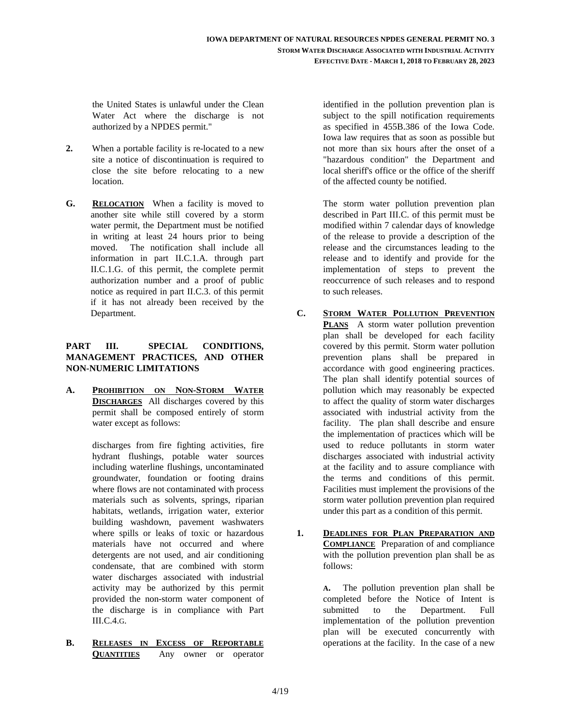the United States is unlawful under the Clean Water Act where the discharge is not authorized by a NPDES permit."

- **2.** When a portable facility is re-located to a new site a notice of discontinuation is required to close the site before relocating to a new location.
- **G. RELOCATION** When a facility is moved to another site while still covered by a storm water permit, the Department must be notified in writing at least 24 hours prior to being moved. The notification shall include all information in part II.C.1.A. through part II.C.1.G. of this permit, the complete permit authorization number and a proof of public notice as required in part II.C.3. of this permit if it has not already been received by the Department.

#### **PART III. SPECIAL CONDITIONS, MANAGEMENT PRACTICES, AND OTHER NON-NUMERIC LIMITATIONS**

**A. PROHIBITION ON NON-STORM WATER DISCHARGES** All discharges covered by this permit shall be composed entirely of storm water except as follows:

> discharges from fire fighting activities, fire hydrant flushings, potable water sources including waterline flushings, uncontaminated groundwater, foundation or footing drains where flows are not contaminated with process materials such as solvents, springs, riparian habitats, wetlands, irrigation water, exterior building washdown, pavement washwaters where spills or leaks of toxic or hazardous materials have not occurred and where detergents are not used, and air conditioning condensate, that are combined with storm water discharges associated with industrial activity may be authorized by this permit provided the non-storm water component of the discharge is in compliance with Part III.C.4.G.

**B. RELEASES IN EXCESS OF REPORTABLE QUANTITIES** Any owner or operator

identified in the pollution prevention plan is subject to the spill notification requirements as specified in 455B.386 of the Iowa Code. Iowa law requires that as soon as possible but not more than six hours after the onset of a "hazardous condition" the Department and local sheriff's office or the office of the sheriff of the affected county be notified.

The storm water pollution prevention plan described in Part III.C. of this permit must be modified within 7 calendar days of knowledge of the release to provide a description of the release and the circumstances leading to the release and to identify and provide for the implementation of steps to prevent the reoccurrence of such releases and to respond to such releases.

- **C. STORM WATER POLLUTION PREVENTION PLANS** A storm water pollution prevention plan shall be developed for each facility covered by this permit. Storm water pollution prevention plans shall be prepared in accordance with good engineering practices. The plan shall identify potential sources of pollution which may reasonably be expected to affect the quality of storm water discharges associated with industrial activity from the facility. The plan shall describe and ensure the implementation of practices which will be used to reduce pollutants in storm water discharges associated with industrial activity at the facility and to assure compliance with the terms and conditions of this permit. Facilities must implement the provisions of the storm water pollution prevention plan required under this part as a condition of this permit.
- **1. DEADLINES FOR PLAN PREPARATION AND COMPLIANCE** Preparation of and compliance with the pollution prevention plan shall be as follows:

**A.** The pollution prevention plan shall be completed before the Notice of Intent is submitted to the Department. Full implementation of the pollution prevention plan will be executed concurrently with operations at the facility. In the case of a new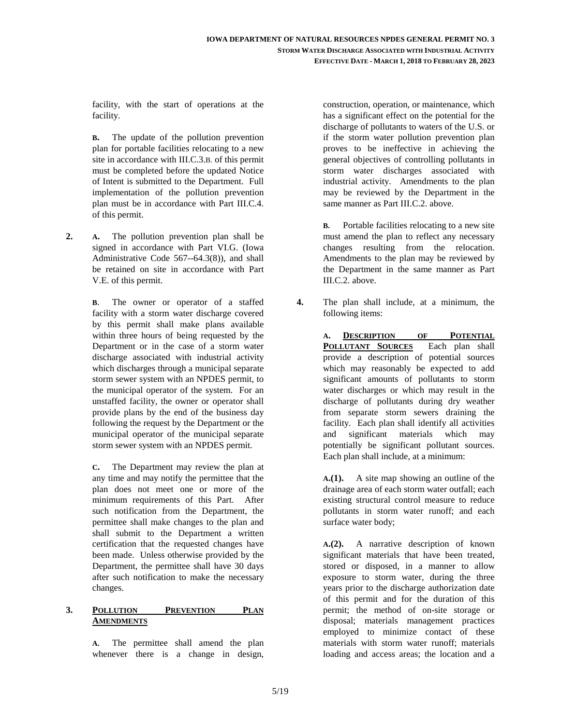facility, with the start of operations at the facility.

**B.** The update of the pollution prevention plan for portable facilities relocating to a new site in accordance with III.C.3.B. of this permit must be completed before the updated Notice of Intent is submitted to the Department. Full implementation of the pollution prevention plan must be in accordance with Part III.C.4. of this permit.

**2. A.** The pollution prevention plan shall be signed in accordance with Part VI.G. (Iowa Administrative Code 567--64.3(8)), and shall be retained on site in accordance with Part V.E. of this permit.

> **B**. The owner or operator of a staffed facility with a storm water discharge covered by this permit shall make plans available within three hours of being requested by the Department or in the case of a storm water discharge associated with industrial activity which discharges through a municipal separate storm sewer system with an NPDES permit, to the municipal operator of the system. For an unstaffed facility, the owner or operator shall provide plans by the end of the business day following the request by the Department or the municipal operator of the municipal separate storm sewer system with an NPDES permit.

> **C.** The Department may review the plan at any time and may notify the permittee that the plan does not meet one or more of the minimum requirements of this Part. After such notification from the Department, the permittee shall make changes to the plan and shall submit to the Department a written certification that the requested changes have been made. Unless otherwise provided by the Department, the permittee shall have 30 days after such notification to make the necessary changes.

#### **3. POLLUTION PREVENTION PLAN AMENDMENTS**

**A.** The permittee shall amend the plan whenever there is a change in design,

construction, operation, or maintenance, which has a significant effect on the potential for the discharge of pollutants to waters of the U.S. or if the storm water pollution prevention plan proves to be ineffective in achieving the general objectives of controlling pollutants in storm water discharges associated with industrial activity. Amendments to the plan may be reviewed by the Department in the same manner as Part III.C.2. above.

**B.** Portable facilities relocating to a new site must amend the plan to reflect any necessary changes resulting from the relocation. Amendments to the plan may be reviewed by the Department in the same manner as Part III.C.2. above.

**4.** The plan shall include, at a minimum, the following items:

> **A. DESCRIPTION OF POTENTIAL POLLUTANT SOURCES** Each plan shall provide a description of potential sources which may reasonably be expected to add significant amounts of pollutants to storm water discharges or which may result in the discharge of pollutants during dry weather from separate storm sewers draining the facility. Each plan shall identify all activities and significant materials which may potentially be significant pollutant sources. Each plan shall include, at a minimum:

> **A.(1).** A site map showing an outline of the drainage area of each storm water outfall; each existing structural control measure to reduce pollutants in storm water runoff; and each surface water body;

> **A.(2).** A narrative description of known significant materials that have been treated, stored or disposed, in a manner to allow exposure to storm water, during the three years prior to the discharge authorization date of this permit and for the duration of this permit; the method of on-site storage or disposal; materials management practices employed to minimize contact of these materials with storm water runoff; materials loading and access areas; the location and a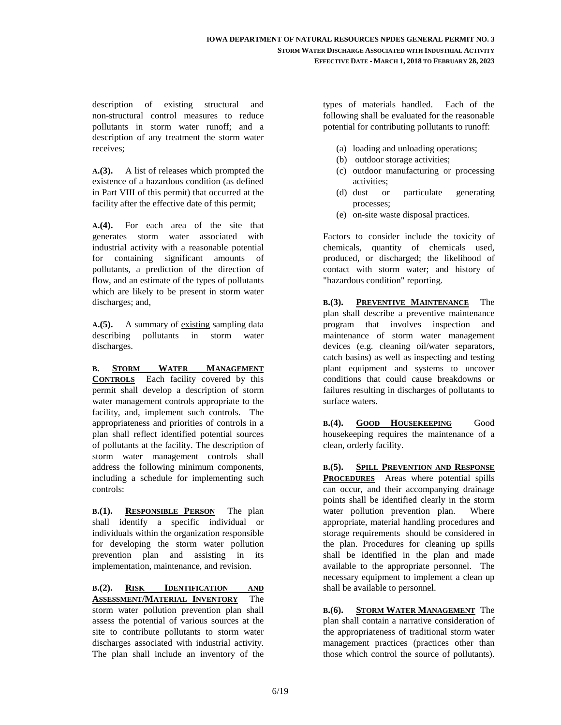description of existing structural and non-structural control measures to reduce pollutants in storm water runoff; and a description of any treatment the storm water receives;

**A.(3).** A list of releases which prompted the existence of a hazardous condition (as defined in Part VIII of this permit) that occurred at the facility after the effective date of this permit;

**A.(4).** For each area of the site that generates storm water associated with industrial activity with a reasonable potential for containing significant amounts of pollutants, a prediction of the direction of flow, and an estimate of the types of pollutants which are likely to be present in storm water discharges; and,

**A.(5).** A summary of existing sampling data describing pollutants in storm water discharges.

**B. STORM WATER MANAGEMENT CONTROLS** Each facility covered by this permit shall develop a description of storm water management controls appropriate to the facility, and, implement such controls. The appropriateness and priorities of controls in a plan shall reflect identified potential sources of pollutants at the facility. The description of storm water management controls shall address the following minimum components, including a schedule for implementing such controls:

**B.(1). RESPONSIBLE PERSON** The plan shall identify a specific individual or individuals within the organization responsible for developing the storm water pollution prevention plan and assisting in its implementation, maintenance, and revision.

**B.(2). RISK IDENTIFICATION AND ASSESSMENT/MATERIAL INVENTORY** The storm water pollution prevention plan shall assess the potential of various sources at the site to contribute pollutants to storm water discharges associated with industrial activity. The plan shall include an inventory of the types of materials handled. Each of the following shall be evaluated for the reasonable potential for contributing pollutants to runoff:

- (a) loading and unloading operations;
- (b) outdoor storage activities;
- (c) outdoor manufacturing or processing activities;
- (d) dust or particulate generating processes;
- (e) on-site waste disposal practices.

Factors to consider include the toxicity of chemicals, quantity of chemicals used, produced, or discharged; the likelihood of contact with storm water; and history of "hazardous condition" reporting.

**B.(3). PREVENTIVE MAINTENANCE** The plan shall describe a preventive maintenance program that involves inspection and maintenance of storm water management devices (e.g. cleaning oil/water separators, catch basins) as well as inspecting and testing plant equipment and systems to uncover conditions that could cause breakdowns or failures resulting in discharges of pollutants to surface waters.

**B.(4). GOOD HOUSEKEEPING** Good housekeeping requires the maintenance of a clean, orderly facility.

**B.(5). SPILL PREVENTION AND RESPONSE PROCEDURES** Areas where potential spills can occur, and their accompanying drainage points shall be identified clearly in the storm water pollution prevention plan. Where appropriate, material handling procedures and storage requirements should be considered in the plan. Procedures for cleaning up spills shall be identified in the plan and made available to the appropriate personnel. The necessary equipment to implement a clean up shall be available to personnel.

**B.(6). STORM WATER MANAGEMENT** The plan shall contain a narrative consideration of the appropriateness of traditional storm water management practices (practices other than those which control the source of pollutants).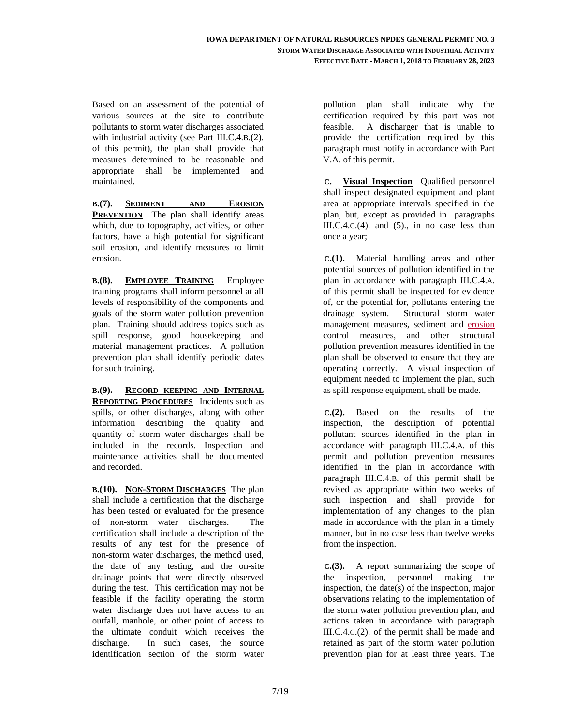Based on an assessment of the potential of various sources at the site to contribute pollutants to storm water discharges associated with industrial activity (see Part III.C.4.B.(2). of this permit), the plan shall provide that measures determined to be reasonable and appropriate shall be implemented and maintained.

**B.(7). SEDIMENT AND EROSION PREVENTION** The plan shall identify areas which, due to topography, activities, or other factors, have a high potential for significant soil erosion, and identify measures to limit erosion.

**B.(8). EMPLOYEE TRAINING** Employee training programs shall inform personnel at all levels of responsibility of the components and goals of the storm water pollution prevention plan. Training should address topics such as spill response, good housekeeping and material management practices. A pollution prevention plan shall identify periodic dates for such training.

**B.(9). RECORD KEEPING AND INTERNAL REPORTING PROCEDURES** Incidents such as spills, or other discharges, along with other information describing the quality and quantity of storm water discharges shall be included in the records. Inspection and maintenance activities shall be documented and recorded.

**B.(10). NON-STORM DISCHARGES** The plan shall include a certification that the discharge has been tested or evaluated for the presence of non-storm water discharges. The certification shall include a description of the results of any test for the presence of non-storm water discharges, the method used, the date of any testing, and the on-site drainage points that were directly observed during the test. This certification may not be feasible if the facility operating the storm water discharge does not have access to an outfall, manhole, or other point of access to the ultimate conduit which receives the discharge. In such cases, the source identification section of the storm water

pollution plan shall indicate why the certification required by this part was not feasible. A discharger that is unable to provide the certification required by this paragraph must notify in accordance with Part V.A. of this permit.

 **C. Visual Inspection** Qualified personnel shall inspect designated equipment and plant area at appropriate intervals specified in the plan, but, except as provided in paragraphs III.C.4.C.(4). and (5)., in no case less than once a year;

 **C.(1).** Material handling areas and other potential sources of pollution identified in the plan in accordance with paragraph III.C.4.A. of this permit shall be inspected for evidence of, or the potential for, pollutants entering the drainage system. Structural storm water management measures, sediment and erosion control measures, and other structural pollution prevention measures identified in the plan shall be observed to ensure that they are operating correctly. A visual inspection of equipment needed to implement the plan, such as spill response equipment, shall be made.

 **C.(2).** Based on the results of the inspection, the description of potential pollutant sources identified in the plan in accordance with paragraph III.C.4.A. of this permit and pollution prevention measures identified in the plan in accordance with paragraph III.C.4.B. of this permit shall be revised as appropriate within two weeks of such inspection and shall provide for implementation of any changes to the plan made in accordance with the plan in a timely manner, but in no case less than twelve weeks from the inspection.

 **C.(3).** A report summarizing the scope of the inspection, personnel making the inspection, the date(s) of the inspection, major observations relating to the implementation of the storm water pollution prevention plan, and actions taken in accordance with paragraph III.C.4.C.(2). of the permit shall be made and retained as part of the storm water pollution prevention plan for at least three years. The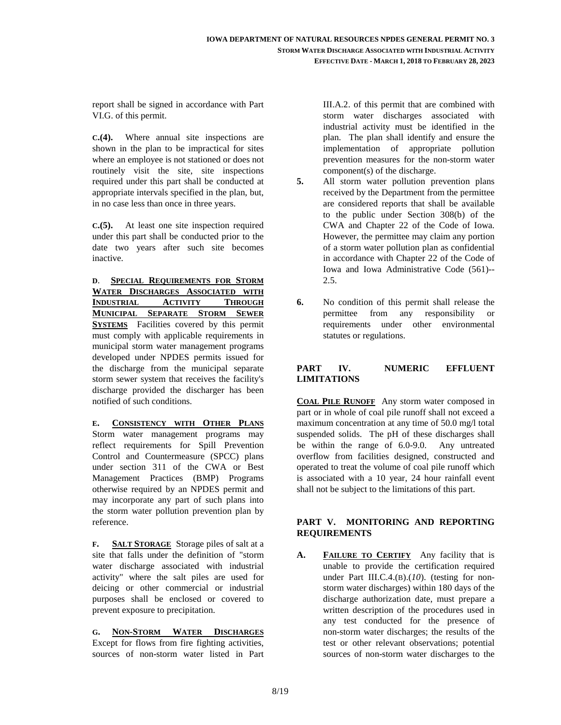report shall be signed in accordance with Part VI.G. of this permit.

**C.(4).** Where annual site inspections are shown in the plan to be impractical for sites where an employee is not stationed or does not routinely visit the site, site inspections required under this part shall be conducted at appropriate intervals specified in the plan, but, in no case less than once in three years.

**C.(5).** At least one site inspection required under this part shall be conducted prior to the date two years after such site becomes inactive.

**D**. **SPECIAL REQUIREMENTS FOR STORM WATER DISCHARGES ASSOCIATED WITH INDUSTRIAL ACTIVITY THROUGH MUNICIPAL SEPARATE STORM SEWER SYSTEMS** Facilities covered by this permit must comply with applicable requirements in municipal storm water management programs developed under NPDES permits issued for the discharge from the municipal separate storm sewer system that receives the facility's discharge provided the discharger has been notified of such conditions.

**E. CONSISTENCY WITH OTHER PLANS** Storm water management programs may reflect requirements for Spill Prevention Control and Countermeasure (SPCC) plans under section 311 of the CWA or Best Management Practices (BMP) Programs otherwise required by an NPDES permit and may incorporate any part of such plans into the storm water pollution prevention plan by reference.

**F. SALT STORAGE** Storage piles of salt at a site that falls under the definition of "storm water discharge associated with industrial activity" where the salt piles are used for deicing or other commercial or industrial purposes shall be enclosed or covered to prevent exposure to precipitation.

**G. NON-STORM WATER DISCHARGES** Except for flows from fire fighting activities, sources of non-storm water listed in Part III.A.2. of this permit that are combined with storm water discharges associated with industrial activity must be identified in the plan. The plan shall identify and ensure the implementation of appropriate pollution prevention measures for the non-storm water component(s) of the discharge.

- **5.** All storm water pollution prevention plans received by the Department from the permittee are considered reports that shall be available to the public under Section 308(b) of the CWA and Chapter 22 of the Code of Iowa. However, the permittee may claim any portion of a storm water pollution plan as confidential in accordance with Chapter 22 of the Code of Iowa and Iowa Administrative Code (561)-- 2.5.
- **6.** No condition of this permit shall release the permittee from any responsibility or requirements under other environmental statutes or regulations.

#### **PART IV. NUMERIC EFFLUENT LIMITATIONS**

**COAL PILE RUNOFF** Any storm water composed in part or in whole of coal pile runoff shall not exceed a maximum concentration at any time of 50.0 mg/l total suspended solids. The pH of these discharges shall be within the range of 6.0-9.0. Any untreated overflow from facilities designed, constructed and operated to treat the volume of coal pile runoff which is associated with a 10 year, 24 hour rainfall event shall not be subject to the limitations of this part.

#### **PART V. MONITORING AND REPORTING REQUIREMENTS**

**A. FAILURE TO CERTIFY** Any facility that is unable to provide the certification required under Part III.C.4.(B).(*10*). (testing for nonstorm water discharges) within 180 days of the discharge authorization date, must prepare a written description of the procedures used in any test conducted for the presence of non-storm water discharges; the results of the test or other relevant observations; potential sources of non-storm water discharges to the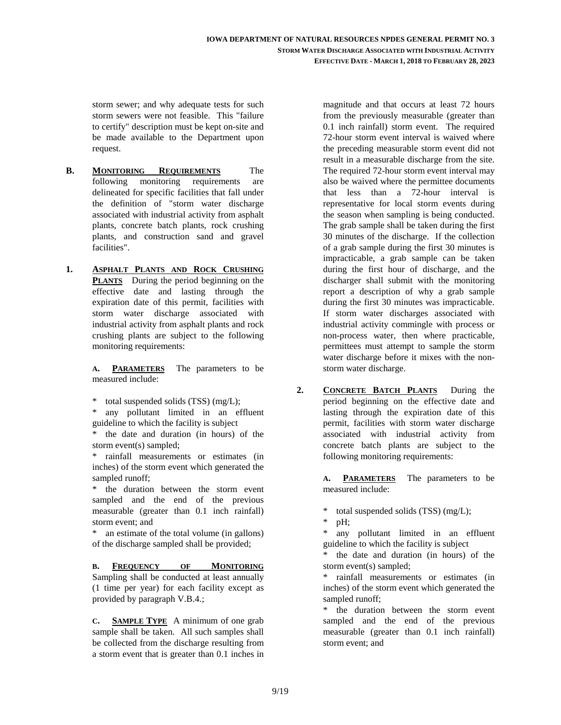storm sewer; and why adequate tests for such storm sewers were not feasible. This "failure to certify" description must be kept on-site and be made available to the Department upon request.

- **B. MONITORING REQUIREMENTS** The following monitoring requirements are delineated for specific facilities that fall under the definition of "storm water discharge associated with industrial activity from asphalt plants, concrete batch plants, rock crushing plants, and construction sand and gravel facilities".
- **1. ASPHALT PLANTS AND ROCK CRUSHING PLANTS** During the period beginning on the effective date and lasting through the expiration date of this permit, facilities with storm water discharge associated with industrial activity from asphalt plants and rock crushing plants are subject to the following monitoring requirements:

**A. PARAMETERS** The parameters to be measured include:

total suspended solids (TSS) (mg/L);

 \* any pollutant limited in an effluent guideline to which the facility is subject

 \* the date and duration (in hours) of the storm event(s) sampled;

 \* rainfall measurements or estimates (in inches) of the storm event which generated the sampled runoff;

the duration between the storm event sampled and the end of the previous measurable (greater than 0.1 inch rainfall) storm event; and

 \* an estimate of the total volume (in gallons) of the discharge sampled shall be provided;

**B. FREQUENCY OF MONITORING**  Sampling shall be conducted at least annually (1 time per year) for each facility except as provided by paragraph V.B.4.;

**C. SAMPLE TYPE** A minimum of one grab sample shall be taken. All such samples shall be collected from the discharge resulting from a storm event that is greater than 0.1 inches in magnitude and that occurs at least 72 hours from the previously measurable (greater than 0.1 inch rainfall) storm event. The required 72-hour storm event interval is waived where the preceding measurable storm event did not result in a measurable discharge from the site. The required 72-hour storm event interval may also be waived where the permittee documents that less than a 72-hour interval is representative for local storm events during the season when sampling is being conducted. The grab sample shall be taken during the first 30 minutes of the discharge. If the collection of a grab sample during the first 30 minutes is impracticable, a grab sample can be taken during the first hour of discharge, and the discharger shall submit with the monitoring report a description of why a grab sample during the first 30 minutes was impracticable. If storm water discharges associated with industrial activity commingle with process or non-process water, then where practicable, permittees must attempt to sample the storm water discharge before it mixes with the nonstorm water discharge.

**2. CONCRETE BATCH PLANTS** During the period beginning on the effective date and lasting through the expiration date of this permit, facilities with storm water discharge associated with industrial activity from concrete batch plants are subject to the following monitoring requirements:

> **A. PARAMETERS** The parameters to be measured include:

\* total suspended solids (TSS) (mg/L);

 $pH$ :

 \* any pollutant limited in an effluent guideline to which the facility is subject

 \* the date and duration (in hours) of the storm event(s) sampled;

 \* rainfall measurements or estimates (in inches) of the storm event which generated the sampled runoff;

 \* the duration between the storm event sampled and the end of the previous measurable (greater than 0.1 inch rainfall) storm event; and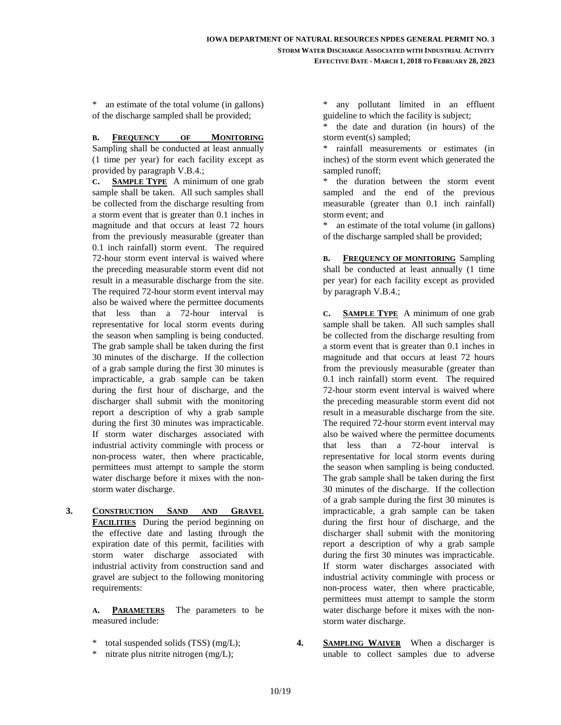\* an estimate of the total volume (in gallons) of the discharge sampled shall be provided;

**B. FREQUENCY OF MONITORING**  Sampling shall be conducted at least annually (1 time per year) for each facility except as provided by paragraph V.B.4.;

**C. SAMPLE TYPE** A minimum of one grab sample shall be taken. All such samples shall be collected from the discharge resulting from a storm event that is greater than 0.1 inches in magnitude and that occurs at least 72 hours from the previously measurable (greater than 0.1 inch rainfall) storm event. The required 72-hour storm event interval is waived where the preceding measurable storm event did not result in a measurable discharge from the site. The required 72-hour storm event interval may also be waived where the permittee documents that less than a 72-hour interval is representative for local storm events during the season when sampling is being conducted. The grab sample shall be taken during the first 30 minutes of the discharge. If the collection of a grab sample during the first 30 minutes is impracticable, a grab sample can be taken during the first hour of discharge, and the discharger shall submit with the monitoring report a description of why a grab sample during the first 30 minutes was impracticable. If storm water discharges associated with industrial activity commingle with process or non-process water, then where practicable, permittees must attempt to sample the storm water discharge before it mixes with the nonstorm water discharge.

**3. CONSTRUCTION SAND AND GRAVEL FACILITIES** During the period beginning on the effective date and lasting through the expiration date of this permit, facilities with storm water discharge associated with industrial activity from construction sand and gravel are subject to the following monitoring requirements:

> **A. PARAMETERS** The parameters to be measured include:

- total suspended solids  $(TSS)$  (mg/L);
- nitrate plus nitrite nitrogen (mg/L);

 \* any pollutant limited in an effluent guideline to which the facility is subject;

 \* the date and duration (in hours) of the storm event(s) sampled;

 \* rainfall measurements or estimates (in inches) of the storm event which generated the sampled runoff;

 \* the duration between the storm event sampled and the end of the previous measurable (greater than 0.1 inch rainfall) storm event; and

 \* an estimate of the total volume (in gallons) of the discharge sampled shall be provided;

**B. FREQUENCY OF MONITORING** Sampling shall be conducted at least annually (1 time per year) for each facility except as provided by paragraph V.B.4.;

**C. SAMPLE TYPE** A minimum of one grab sample shall be taken. All such samples shall be collected from the discharge resulting from a storm event that is greater than 0.1 inches in magnitude and that occurs at least 72 hours from the previously measurable (greater than 0.1 inch rainfall) storm event. The required 72-hour storm event interval is waived where the preceding measurable storm event did not result in a measurable discharge from the site. The required 72-hour storm event interval may also be waived where the permittee documents that less than a 72-hour interval is representative for local storm events during the season when sampling is being conducted. The grab sample shall be taken during the first 30 minutes of the discharge. If the collection of a grab sample during the first 30 minutes is impracticable, a grab sample can be taken during the first hour of discharge, and the discharger shall submit with the monitoring report a description of why a grab sample during the first 30 minutes was impracticable. If storm water discharges associated with industrial activity commingle with process or non-process water, then where practicable, permittees must attempt to sample the storm water discharge before it mixes with the nonstorm water discharge.

**4. SAMPLING WAIVER** When a discharger is unable to collect samples due to adverse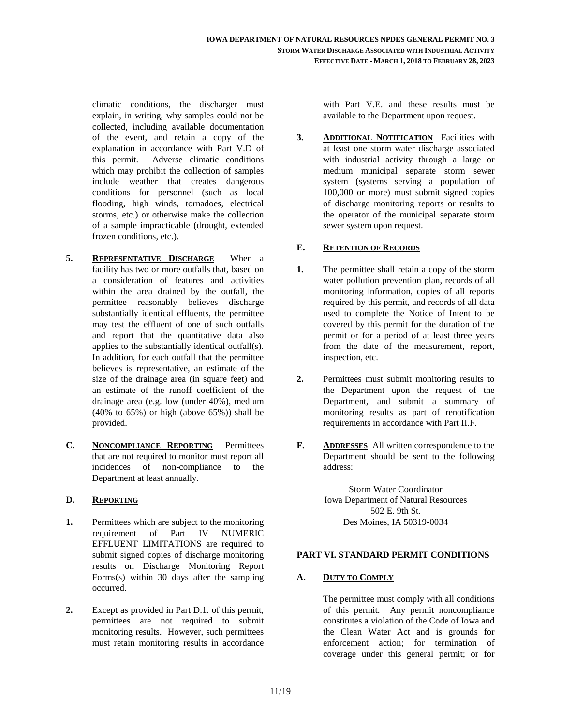climatic conditions, the discharger must explain, in writing, why samples could not be collected, including available documentation of the event, and retain a copy of the explanation in accordance with Part V.D of this permit. Adverse climatic conditions which may prohibit the collection of samples include weather that creates dangerous conditions for personnel (such as local flooding, high winds, tornadoes, electrical storms, etc.) or otherwise make the collection of a sample impracticable (drought, extended frozen conditions, etc.).

- **5. REPRESENTATIVE DISCHARGE** When a facility has two or more outfalls that, based on a consideration of features and activities within the area drained by the outfall, the permittee reasonably believes discharge substantially identical effluents, the permittee may test the effluent of one of such outfalls and report that the quantitative data also applies to the substantially identical outfall(s). In addition, for each outfall that the permittee believes is representative, an estimate of the size of the drainage area (in square feet) and an estimate of the runoff coefficient of the drainage area (e.g. low (under 40%), medium  $(40\%$  to  $65\%)$  or high (above  $65\%)$ ) shall be provided.
- **C. NONCOMPLIANCE REPORTING** Permittees that are not required to monitor must report all incidences of non-compliance to the Department at least annually.

#### **D. REPORTING**

- **1.** Permittees which are subject to the monitoring requirement of Part IV NUMERIC EFFLUENT LIMITATIONS are required to submit signed copies of discharge monitoring results on Discharge Monitoring Report Forms(s) within 30 days after the sampling occurred.
- **2.** Except as provided in Part D.1. of this permit, permittees are not required to submit monitoring results. However, such permittees must retain monitoring results in accordance

with Part V.E. and these results must be available to the Department upon request.

**3. ADDITIONAL NOTIFICATION** Facilities with at least one storm water discharge associated with industrial activity through a large or medium municipal separate storm sewer system (systems serving a population of 100,000 or more) must submit signed copies of discharge monitoring reports or results to the operator of the municipal separate storm sewer system upon request.

#### **E. RETENTION OF RECORDS**

- **1.** The permittee shall retain a copy of the storm water pollution prevention plan, records of all monitoring information, copies of all reports required by this permit, and records of all data used to complete the Notice of Intent to be covered by this permit for the duration of the permit or for a period of at least three years from the date of the measurement, report, inspection, etc.
- **2.** Permittees must submit monitoring results to the Department upon the request of the Department, and submit a summary of monitoring results as part of renotification requirements in accordance with Part II.F.
- **F. ADDRESSES** All written correspondence to the Department should be sent to the following address:

Storm Water Coordinator Iowa Department of Natural Resources 502 E. 9th St. Des Moines, IA 50319-0034

#### **PART VI. STANDARD PERMIT CONDITIONS**

#### **A. DUTY TO COMPLY**

The permittee must comply with all conditions of this permit. Any permit noncompliance constitutes a violation of the Code of Iowa and the Clean Water Act and is grounds for enforcement action; for termination of coverage under this general permit; or for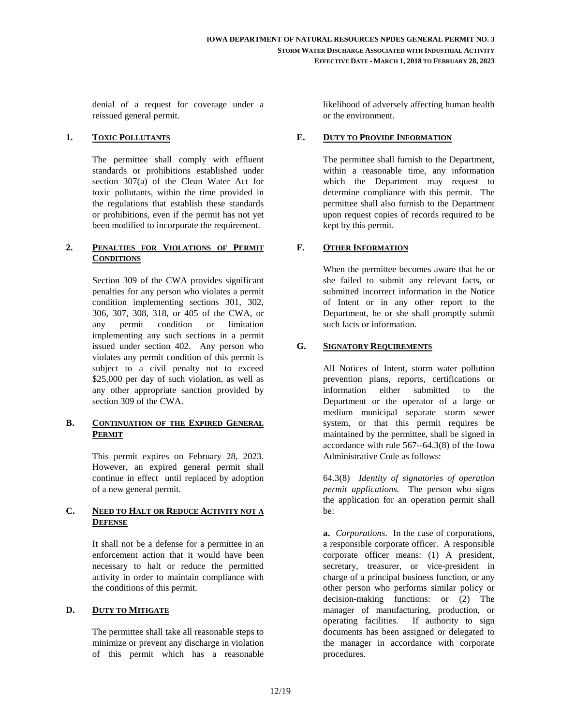denial of a request for coverage under a reissued general permit.

#### **1. TOXIC POLLUTANTS**

The permittee shall comply with effluent standards or prohibitions established under section 307(a) of the Clean Water Act for toxic pollutants, within the time provided in the regulations that establish these standards or prohibitions, even if the permit has not yet been modified to incorporate the requirement.

#### **2. PENALTIES FOR VIOLATIONS OF PERMIT CONDITIONS**

Section 309 of the CWA provides significant penalties for any person who violates a permit condition implementing sections 301, 302, 306, 307, 308, 318, or 405 of the CWA, or any permit condition or limitation implementing any such sections in a permit issued under section 402. Any person who violates any permit condition of this permit is subject to a civil penalty not to exceed \$25,000 per day of such violation, as well as any other appropriate sanction provided by section 309 of the CWA.

#### **B. CONTINUATION OF THE EXPIRED GENERAL PERMIT**

This permit expires on February 28, 2023. However, an expired general permit shall continue in effect until replaced by adoption of a new general permit.

#### **C. NEED TO HALT OR REDUCE ACTIVITY NOT A DEFENSE**

It shall not be a defense for a permittee in an enforcement action that it would have been necessary to halt or reduce the permitted activity in order to maintain compliance with the conditions of this permit.

#### **D. DUTY TO MITIGATE**

The permittee shall take all reasonable steps to minimize or prevent any discharge in violation of this permit which has a reasonable likelihood of adversely affecting human health or the environment.

#### **E. DUTY TO PROVIDE INFORMATION**

The permittee shall furnish to the Department, within a reasonable time, any information which the Department may request to determine compliance with this permit. The permittee shall also furnish to the Department upon request copies of records required to be kept by this permit.

#### **F. OTHER INFORMATION**

When the permittee becomes aware that he or she failed to submit any relevant facts, or submitted incorrect information in the Notice of Intent or in any other report to the Department, he or she shall promptly submit such facts or information.

#### **G. SIGNATORY REQUIREMENTS**

All Notices of Intent, storm water pollution prevention plans, reports, certifications or information either submitted to the Department or the operator of a large or medium municipal separate storm sewer system, or that this permit requires be maintained by the permittee, shall be signed in accordance with rule 567--64.3(8) of the Iowa Administrative Code as follows:

64.3(8) *Identity of signatories of operation permit applications.* The person who signs the application for an operation permit shall be:

**a.** *Corporations*. In the case of corporations, a responsible corporate officer. A responsible corporate officer means: (1) A president, secretary, treasurer, or vice-president in charge of a principal business function, or any other person who performs similar policy or decision-making functions: or (2) The manager of manufacturing, production, or operating facilities. If authority to sign documents has been assigned or delegated to the manager in accordance with corporate procedures.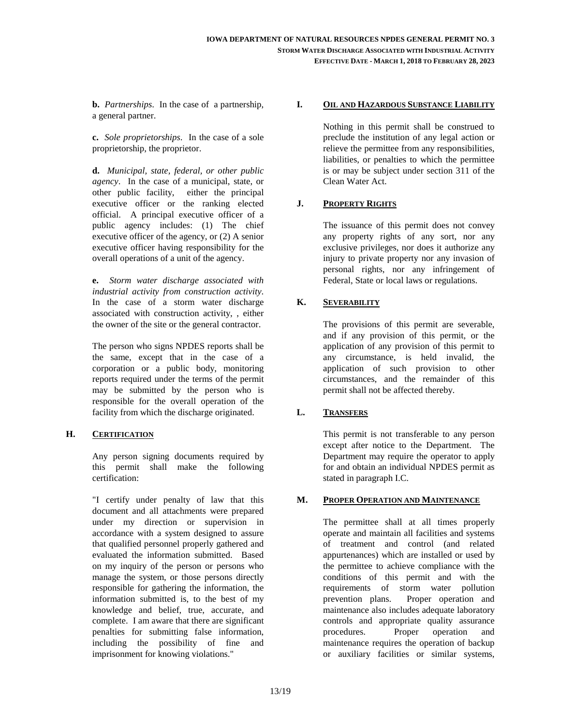**b.** *Partnerships*. In the case of a partnership, a general partner.

**c.** *Sole proprietorships*. In the case of a sole proprietorship, the proprietor.

**d.** *Municipal, state, federal, or other public agency*. In the case of a municipal, state, or other public facility, either the principal executive officer or the ranking elected official. A principal executive officer of a public agency includes: (1) The chief executive officer of the agency, or (2) A senior executive officer having responsibility for the overall operations of a unit of the agency.

**e.** *Storm water discharge associated with industrial activity from construction activity*. In the case of a storm water discharge associated with construction activity, , either the owner of the site or the general contractor.

The person who signs NPDES reports shall be the same, except that in the case of a corporation or a public body, monitoring reports required under the terms of the permit may be submitted by the person who is responsible for the overall operation of the facility from which the discharge originated.

#### **H. CERTIFICATION**

Any person signing documents required by this permit shall make the following certification:

"I certify under penalty of law that this document and all attachments were prepared under my direction or supervision in accordance with a system designed to assure that qualified personnel properly gathered and evaluated the information submitted. Based on my inquiry of the person or persons who manage the system, or those persons directly responsible for gathering the information, the information submitted is, to the best of my knowledge and belief, true, accurate, and complete. I am aware that there are significant penalties for submitting false information, including the possibility of fine and imprisonment for knowing violations."

#### **I. OIL AND HAZARDOUS SUBSTANCE LIABILITY**

Nothing in this permit shall be construed to preclude the institution of any legal action or relieve the permittee from any responsibilities, liabilities, or penalties to which the permittee is or may be subject under section 311 of the Clean Water Act.

#### **J. PROPERTY RIGHTS**

The issuance of this permit does not convey any property rights of any sort, nor any exclusive privileges, nor does it authorize any injury to private property nor any invasion of personal rights, nor any infringement of Federal, State or local laws or regulations.

#### **K. SEVERABILITY**

The provisions of this permit are severable, and if any provision of this permit, or the application of any provision of this permit to any circumstance, is held invalid, the application of such provision to other circumstances, and the remainder of this permit shall not be affected thereby.

#### **L. TRANSFERS**

This permit is not transferable to any person except after notice to the Department. The Department may require the operator to apply for and obtain an individual NPDES permit as stated in paragraph I.C.

#### **M. PROPER OPERATION AND MAINTENANCE**

The permittee shall at all times properly operate and maintain all facilities and systems of treatment and control (and related appurtenances) which are installed or used by the permittee to achieve compliance with the conditions of this permit and with the requirements of storm water pollution prevention plans. Proper operation and maintenance also includes adequate laboratory controls and appropriate quality assurance procedures. Proper operation and maintenance requires the operation of backup or auxiliary facilities or similar systems,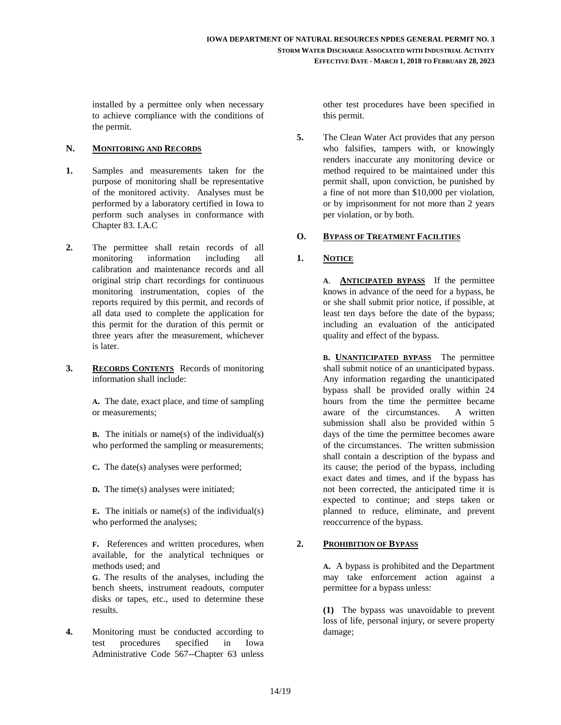installed by a permittee only when necessary to achieve compliance with the conditions of the permit.

#### **N. MONITORING AND RECORDS**

- **1.** Samples and measurements taken for the purpose of monitoring shall be representative of the monitored activity. Analyses must be performed by a laboratory certified in Iowa to perform such analyses in conformance with Chapter 83. I.A.C
- **2.** The permittee shall retain records of all monitoring information including all calibration and maintenance records and all original strip chart recordings for continuous monitoring instrumentation, copies of the reports required by this permit, and records of all data used to complete the application for this permit for the duration of this permit or three years after the measurement, whichever is later.
- **3. RECORDS CONTENTS** Records of monitoring information shall include:

**A.** The date, exact place, and time of sampling or measurements;

**B.** The initials or name(s) of the individual(s) who performed the sampling or measurements;

- **C.** The date(s) analyses were performed;
- **D.** The time(s) analyses were initiated;

**E.** The initials or name(s) of the individual(s) who performed the analyses;

**F.** References and written procedures, when available, for the analytical techniques or methods used; and

**G**. The results of the analyses, including the bench sheets, instrument readouts, computer disks or tapes, etc., used to determine these results.

**4.** Monitoring must be conducted according to test procedures specified in Iowa Administrative Code 567--Chapter 63 unless other test procedures have been specified in this permit.

**5.** The Clean Water Act provides that any person who falsifies, tampers with, or knowingly renders inaccurate any monitoring device or method required to be maintained under this permit shall, upon conviction, be punished by a fine of not more than \$10,000 per violation, or by imprisonment for not more than 2 years per violation, or by both.

#### **O. BYPASS OF TREATMENT FACILITIES**

#### **1. NOTICE**

**A**. **ANTICIPATED BYPASS** If the permittee knows in advance of the need for a bypass, he or she shall submit prior notice, if possible, at least ten days before the date of the bypass; including an evaluation of the anticipated quality and effect of the bypass.

**B. UNANTICIPATED BYPASS** The permittee shall submit notice of an unanticipated bypass. Any information regarding the unanticipated bypass shall be provided orally within 24 hours from the time the permittee became aware of the circumstances. A written submission shall also be provided within 5 days of the time the permittee becomes aware of the circumstances. The written submission shall contain a description of the bypass and its cause; the period of the bypass, including exact dates and times, and if the bypass has not been corrected, the anticipated time it is expected to continue; and steps taken or planned to reduce, eliminate, and prevent reoccurrence of the bypass.

#### **2. PROHIBITION OF BYPASS**

**A.** A bypass is prohibited and the Department may take enforcement action against a permittee for a bypass unless:

**(1)** The bypass was unavoidable to prevent loss of life, personal injury, or severe property damage;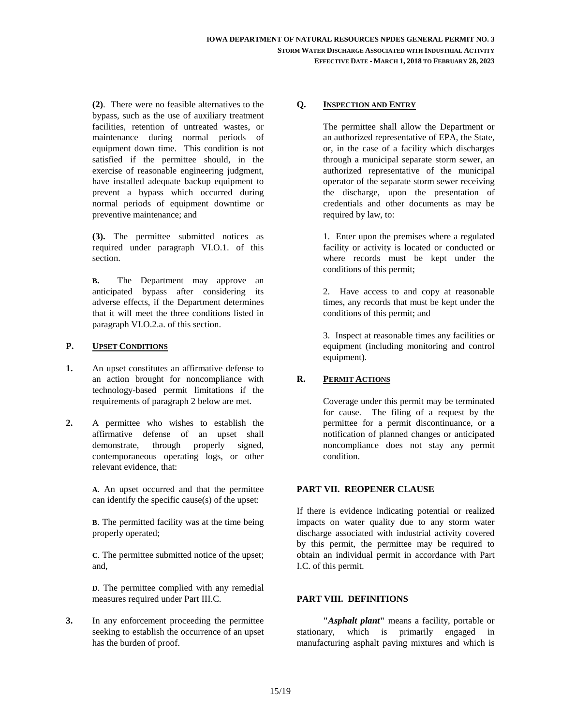**(2)**. There were no feasible alternatives to the bypass, such as the use of auxiliary treatment facilities, retention of untreated wastes, or maintenance during normal periods of equipment down time. This condition is not satisfied if the permittee should, in the exercise of reasonable engineering judgment, have installed adequate backup equipment to prevent a bypass which occurred during normal periods of equipment downtime or preventive maintenance; and

**(3).** The permittee submitted notices as required under paragraph VI.O.1. of this section.

**B.** The Department may approve an anticipated bypass after considering its adverse effects, if the Department determines that it will meet the three conditions listed in paragraph VI.O.2.a. of this section.

#### **P. UPSET CONDITIONS**

- **1.** An upset constitutes an affirmative defense to an action brought for noncompliance with technology-based permit limitations if the requirements of paragraph 2 below are met.
- **2.** A permittee who wishes to establish the affirmative defense of an upset shall demonstrate, through properly signed, contemporaneous operating logs, or other relevant evidence, that:

**A**. An upset occurred and that the permittee can identify the specific cause(s) of the upset:

**B**. The permitted facility was at the time being properly operated;

**C**. The permittee submitted notice of the upset; and,

**D**. The permittee complied with any remedial measures required under Part III.C.

**3.** In any enforcement proceeding the permittee seeking to establish the occurrence of an upset has the burden of proof.

#### **Q. INSPECTION AND ENTRY**

The permittee shall allow the Department or an authorized representative of EPA, the State, or, in the case of a facility which discharges through a municipal separate storm sewer, an authorized representative of the municipal operator of the separate storm sewer receiving the discharge, upon the presentation of credentials and other documents as may be required by law, to:

1. Enter upon the premises where a regulated facility or activity is located or conducted or where records must be kept under the conditions of this permit;

2. Have access to and copy at reasonable times, any records that must be kept under the conditions of this permit; and

3. Inspect at reasonable times any facilities or equipment (including monitoring and control equipment).

#### **R. PERMIT ACTIONS**

Coverage under this permit may be terminated for cause. The filing of a request by the permittee for a permit discontinuance, or a notification of planned changes or anticipated noncompliance does not stay any permit condition.

#### **PART VII. REOPENER CLAUSE**

If there is evidence indicating potential or realized impacts on water quality due to any storm water discharge associated with industrial activity covered by this permit, the permittee may be required to obtain an individual permit in accordance with Part I.C. of this permit.

#### **PART VIII. DEFINITIONS**

**"***Asphalt plant***"** means a facility, portable or stationary, which is primarily engaged in manufacturing asphalt paving mixtures and which is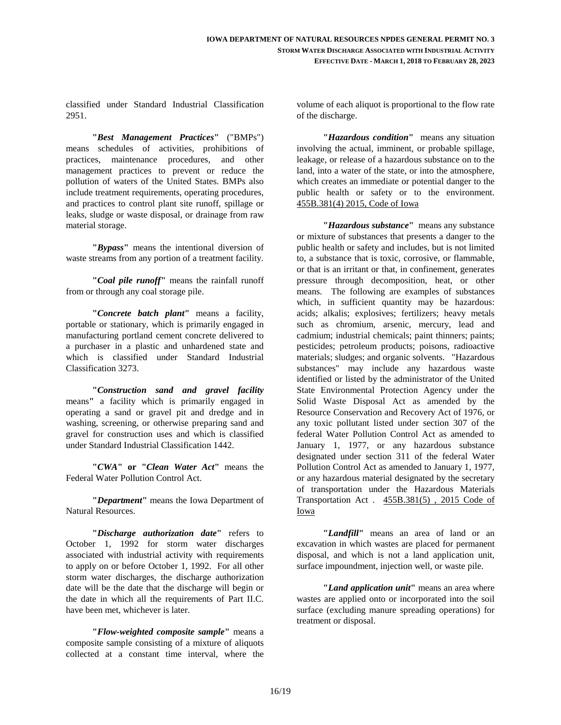classified under Standard Industrial Classification 2951.

**"***Best Management Practices***"** ("BMPs") means schedules of activities, prohibitions of practices, maintenance procedures, and other management practices to prevent or reduce the pollution of waters of the United States. BMPs also include treatment requirements, operating procedures, and practices to control plant site runoff, spillage or leaks, sludge or waste disposal, or drainage from raw material storage.

**"***Bypass***"** means the intentional diversion of waste streams from any portion of a treatment facility.

**"***Coal pile runoff***"** means the rainfall runoff from or through any coal storage pile.

**"***Concrete batch plant***"** means a facility, portable or stationary, which is primarily engaged in manufacturing portland cement concrete delivered to a purchaser in a plastic and unhardened state and which is classified under Standard Industrial Classification 3273.

**"***Construction sand and gravel facility* means**"** a facility which is primarily engaged in operating a sand or gravel pit and dredge and in washing, screening, or otherwise preparing sand and gravel for construction uses and which is classified under Standard Industrial Classification 1442.

**"***CWA***" or "***Clean Water Act***"** means the Federal Water Pollution Control Act.

**"***Department***"** means the Iowa Department of Natural Resources.

**"***Discharge authorization date***"** refers to October 1, 1992 for storm water discharges associated with industrial activity with requirements to apply on or before October 1, 1992. For all other storm water discharges, the discharge authorization date will be the date that the discharge will begin or the date in which all the requirements of Part II.C. have been met, whichever is later.

**"***Flow-weighted composite sample***"** means a composite sample consisting of a mixture of aliquots collected at a constant time interval, where the volume of each aliquot is proportional to the flow rate of the discharge.

 **"***Hazardous condition***"** means any situation involving the actual, imminent, or probable spillage, leakage, or release of a hazardous substance on to the land, into a water of the state, or into the atmosphere, which creates an immediate or potential danger to the public health or safety or to the environment. 455B.381(4) 2015, Code of Iowa

**"***Hazardous substance***"** means any substance or mixture of substances that presents a danger to the public health or safety and includes, but is not limited to, a substance that is toxic, corrosive, or flammable, or that is an irritant or that, in confinement, generates pressure through decomposition, heat, or other means. The following are examples of substances which, in sufficient quantity may be hazardous: acids; alkalis; explosives; fertilizers; heavy metals such as chromium, arsenic, mercury, lead and cadmium; industrial chemicals; paint thinners; paints; pesticides; petroleum products; poisons, radioactive materials; sludges; and organic solvents. "Hazardous substances" may include any hazardous waste identified or listed by the administrator of the United State Environmental Protection Agency under the Solid Waste Disposal Act as amended by the Resource Conservation and Recovery Act of 1976, or any toxic pollutant listed under section 307 of the federal Water Pollution Control Act as amended to January 1, 1977, or any hazardous substance designated under section 311 of the federal Water Pollution Control Act as amended to January 1, 1977, or any hazardous material designated by the secretary of transportation under the Hazardous Materials Transportation Act . 455B.381(5) , 2015 Code of Iowa

 **"***Landfill***"** means an area of land or an excavation in which wastes are placed for permanent disposal, and which is not a land application unit, surface impoundment, injection well, or waste pile.

 **"***Land application unit***"** means an area where wastes are applied onto or incorporated into the soil surface (excluding manure spreading operations) for treatment or disposal.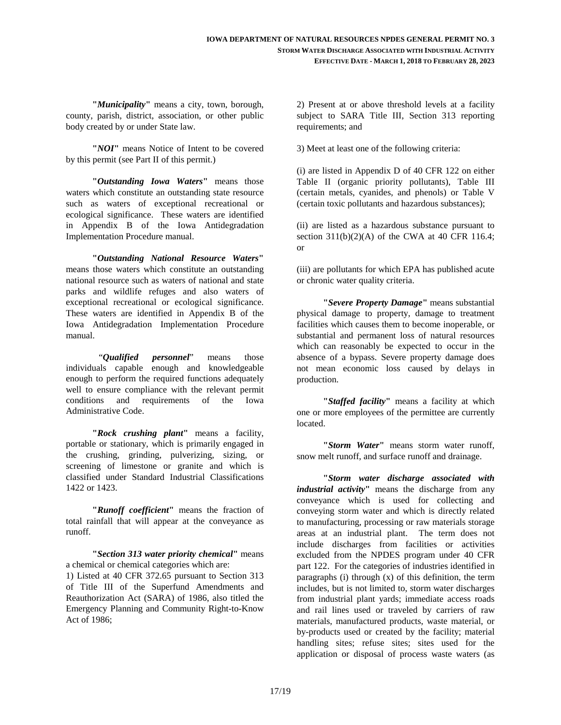**"***Municipality***"** means a city, town, borough, county, parish, district, association, or other public body created by or under State law.

**"***NOI***"** means Notice of Intent to be covered by this permit (see Part II of this permit.)

 **"***Outstanding Iowa Waters***"** means those waters which constitute an outstanding state resource such as waters of exceptional recreational or ecological significance. These waters are identified in Appendix B of the Iowa Antidegradation Implementation Procedure manual.

 **"***Outstanding National Resource Waters***"** means those waters which constitute an outstanding national resource such as waters of national and state parks and wildlife refuges and also waters of exceptional recreational or ecological significance. These waters are identified in Appendix B of the Iowa Antidegradation Implementation Procedure manual.

 "*Qualified personnel*" means those individuals capable enough and knowledgeable enough to perform the required functions adequately well to ensure compliance with the relevant permit conditions and requirements of the Iowa Administrative Code.

**"***Rock crushing plant***"** means a facility, portable or stationary, which is primarily engaged in the crushing, grinding, pulverizing, sizing, or screening of limestone or granite and which is classified under Standard Industrial Classifications 1422 or 1423.

**"***Runoff coefficient***"** means the fraction of total rainfall that will appear at the conveyance as runoff.

 **"***Section 313 water priority chemical***"** means a chemical or chemical categories which are: 1) Listed at 40 CFR 372.65 pursuant to Section 313 of Title III of the Superfund Amendments and Reauthorization Act (SARA) of 1986, also titled the Emergency Planning and Community Right-to-Know Act of 1986;

2) Present at or above threshold levels at a facility subject to SARA Title III, Section 313 reporting requirements; and

3) Meet at least one of the following criteria:

(i) are listed in Appendix D of 40 CFR 122 on either Table II (organic priority pollutants), Table III (certain metals, cyanides, and phenols) or Table V (certain toxic pollutants and hazardous substances);

(ii) are listed as a hazardous substance pursuant to section  $311(b)(2)(A)$  of the CWA at 40 CFR 116.4; or

(iii) are pollutants for which EPA has published acute or chronic water quality criteria.

**"***Severe Property Damage***"** means substantial physical damage to property, damage to treatment facilities which causes them to become inoperable, or substantial and permanent loss of natural resources which can reasonably be expected to occur in the absence of a bypass. Severe property damage does not mean economic loss caused by delays in production.

 **"***Staffed facility***"** means a facility at which one or more employees of the permittee are currently located.

 **"***Storm Water***"** means storm water runoff, snow melt runoff, and surface runoff and drainage.

 **"***Storm water discharge associated with industrial activity***"** means the discharge from any conveyance which is used for collecting and conveying storm water and which is directly related to manufacturing, processing or raw materials storage areas at an industrial plant. The term does not include discharges from facilities or activities excluded from the NPDES program under 40 CFR part 122. For the categories of industries identified in paragraphs (i) through  $(x)$  of this definition, the term includes, but is not limited to, storm water discharges from industrial plant yards; immediate access roads and rail lines used or traveled by carriers of raw materials, manufactured products, waste material, or by-products used or created by the facility; material handling sites; refuse sites; sites used for the application or disposal of process waste waters (as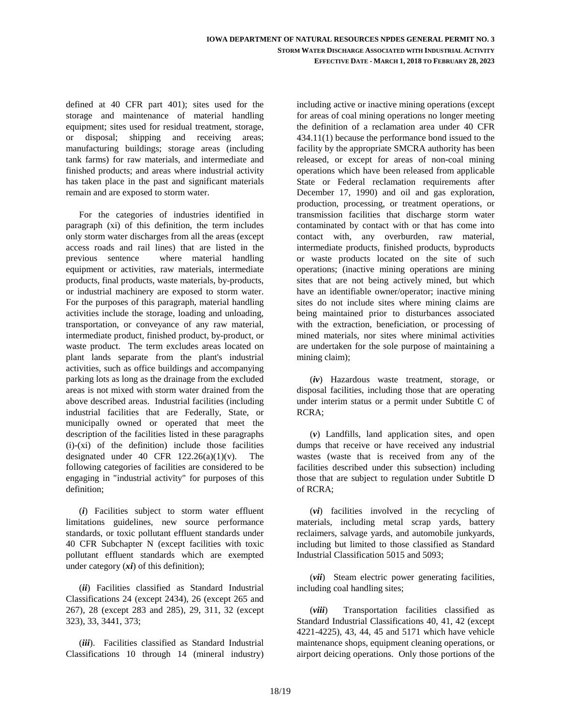defined at 40 CFR part 401); sites used for the storage and maintenance of material handling equipment; sites used for residual treatment, storage, or disposal; shipping and receiving areas; manufacturing buildings; storage areas (including tank farms) for raw materials, and intermediate and finished products; and areas where industrial activity has taken place in the past and significant materials remain and are exposed to storm water.

For the categories of industries identified in paragraph (xi) of this definition, the term includes only storm water discharges from all the areas (except access roads and rail lines) that are listed in the previous sentence where material handling equipment or activities, raw materials, intermediate products, final products, waste materials, by-products, or industrial machinery are exposed to storm water. For the purposes of this paragraph, material handling activities include the storage, loading and unloading, transportation, or conveyance of any raw material, intermediate product, finished product, by-product, or waste product. The term excludes areas located on plant lands separate from the plant's industrial activities, such as office buildings and accompanying parking lots as long as the drainage from the excluded areas is not mixed with storm water drained from the above described areas. Industrial facilities (including industrial facilities that are Federally, State, or municipally owned or operated that meet the description of the facilities listed in these paragraphs (i)-(xi) of the definition) include those facilities designated under 40 CFR  $122.26(a)(1)(v)$ . The following categories of facilities are considered to be engaging in "industrial activity" for purposes of this definition;

 (*i*) Facilities subject to storm water effluent limitations guidelines, new source performance standards, or toxic pollutant effluent standards under 40 CFR Subchapter N (except facilities with toxic pollutant effluent standards which are exempted under category (*xi*) of this definition);

 (*ii*) Facilities classified as Standard Industrial Classifications 24 (except 2434), 26 (except 265 and 267), 28 (except 283 and 285), 29, 311, 32 (except 323), 33, 3441, 373;

 (*iii*). Facilities classified as Standard Industrial Classifications 10 through 14 (mineral industry)

including active or inactive mining operations (except for areas of coal mining operations no longer meeting the definition of a reclamation area under 40 CFR 434.11(1) because the performance bond issued to the facility by the appropriate SMCRA authority has been released, or except for areas of non-coal mining operations which have been released from applicable State or Federal reclamation requirements after December 17, 1990) and oil and gas exploration, production, processing, or treatment operations, or transmission facilities that discharge storm water contaminated by contact with or that has come into contact with, any overburden, raw material, intermediate products, finished products, byproducts or waste products located on the site of such operations; (inactive mining operations are mining sites that are not being actively mined, but which have an identifiable owner/operator; inactive mining sites do not include sites where mining claims are being maintained prior to disturbances associated with the extraction, beneficiation, or processing of mined materials, nor sites where minimal activities are undertaken for the sole purpose of maintaining a mining claim);

 (*iv*) Hazardous waste treatment, storage, or disposal facilities, including those that are operating under interim status or a permit under Subtitle C of RCRA;

 (*v*) Landfills, land application sites, and open dumps that receive or have received any industrial wastes (waste that is received from any of the facilities described under this subsection) including those that are subject to regulation under Subtitle D of RCRA;

 (*vi*) facilities involved in the recycling of materials, including metal scrap yards, battery reclaimers, salvage yards, and automobile junkyards, including but limited to those classified as Standard Industrial Classification 5015 and 5093;

 (*vii*) Steam electric power generating facilities, including coal handling sites;

 (*viii*) Transportation facilities classified as Standard Industrial Classifications 40, 41, 42 (except 4221-4225), 43, 44, 45 and 5171 which have vehicle maintenance shops, equipment cleaning operations, or airport deicing operations. Only those portions of the